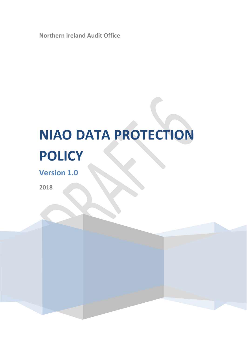**Northern Ireland Audit Office**

# **NIAO DATA PROTECTION POLICY**

**Version 1.0**

**2018**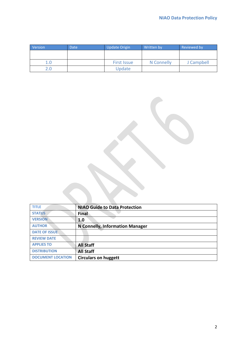| Version       | <b>Date</b> | <b>Update Origin</b> | Written by | Reviewed by |
|---------------|-------------|----------------------|------------|-------------|
|               |             |                      |            |             |
|               |             |                      |            |             |
| 1.0           |             | <b>First Issue</b>   | N Connelly | J Campbell  |
| $2.0^{\circ}$ |             | Update               |            |             |

| <b>TITLE</b>             | <b>NIAO Guide to Data Protection</b>   |
|--------------------------|----------------------------------------|
| <b>STATUS</b>            | Final                                  |
| <b>VERSION</b>           | 1.0                                    |
| <b>AUTHOR</b>            | <b>N Connelly, Information Manager</b> |
| <b>DATE OF ISSUE</b>     |                                        |
| <b>REVIEW DATE</b>       |                                        |
| <b>APPLIES TO</b>        | <b>All Staff</b>                       |
| <b>DISTRIBUTION</b>      | <b>All Staff</b>                       |
| <b>DOCUMENT LOCATION</b> | <b>Circulars on huggett</b>            |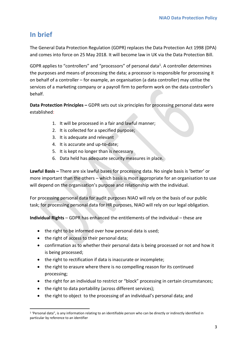# **In brief**

**.** 

The General Data Protection Regulation (GDPR) replaces the Data Protection Act 1998 (DPA) and comes into force on 25 May 2018. It will become law in UK via the Data Protection Bill.

GDPR applies to "controllers" and "processors" of personal data<sup>1</sup>. A controller determines the purposes and means of processing the data; a processor is responsible for processing it on behalf of a controller – for example, an organisation (a data controller) may utilise the services of a marketing company or a payroll firm to perform work on the data controller's behalf.

**Data Protection Principles –** GDPR sets out six principles for processing personal data were established:

- 1. It will be processed in a fair and lawful manner;
- 2. It is collected for a specified purpose;
- 3. It is adequate and relevant
- 4. It is accurate and up-to-date;
- 5. It is kept no longer than is necessary
- 6. Data held has adequate security measures in place.

**Lawful Basis –** There are six lawful bases for processing data. No single basis is 'better' or more important than the others – which basis is most appropriate for an organisation to use will depend on the organisation's purpose and relationship with the individual.

For processing personal data for audit purposes NIAO will rely on the basis of our public task; for processing personal data for HR purposes, NIAO will rely on our legal obligation.

**Individual Rights** – GDPR has enhanced the entitlements of the individual – these are

- the right to be informed over how personal data is used;
- the right of access to their personal data;
- confirmation as to whether their personal data is being processed or not and how it is being processed;
- the right to rectification if data is inaccurate or incomplete;
- the right to erasure where there is no compelling reason for its continued processing;
- the right for an individual to restrict or "block" processing in certain circumstances;
- the right to data portability (across different services);
- the right to object to the processing of an individual's personal data; and

<sup>&</sup>lt;sup>1</sup> 'Personal data", is any information relating to an identifiable person who can be directly or indirectly identified in particular by reference to an identifier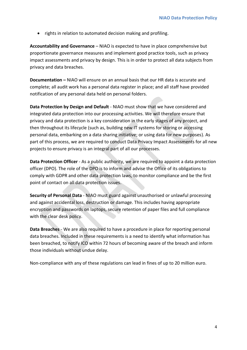• rights in relation to automated decision making and profiling.

**Accountability and Governance** – NIAO is expected to have in place comprehensive but proportionate governance measures and implement good practice tools, such as privacy impact assessments and privacy by design. This is in order to protect all data subjects from privacy and data breaches.

**Documentation –** NIAO will ensure on an annual basis that our HR data is accurate and complete; all audit work has a personal data register in place; and all staff have provided notification of any personal data held on personal folders.

**Data Protection by Design and Default** - NIAO must show that we have considered and integrated data protection into our processing activities. We will therefore ensure that privacy and data protection is a key consideration in the early stages of any project, and then throughout its lifecycle (such as, building new IT systems for storing or accessing personal data, embarking on a data sharing initiative; or using data for new purposes). As part of this process, we are required to conduct Data Privacy Impact Assessments for all new projects to ensure privacy is an integral part of all our processes.

**Data Protection Officer** - As a public authority, we are required to appoint a data protection officer (DPO). The role of the DPO is to inform and advise the Office of its obligations to comply with GDPR and other data protection laws, to monitor compliance and be the first point of contact on all data protection issues.

**Security of Personal Data** - NIAO must guard against unauthorised or unlawful processing and against accidental loss, destruction or damage. This includes having appropriate encryption and passwords on laptops, secure retention of paper files and full compliance with the clear desk policy.

**Data Breaches** - We are also required to have a procedure in place for reporting personal data breaches. Included in these requirements is a need to identify what information has been breached, to notify ICO within 72 hours of becoming aware of the breach and inform those individuals without undue delay.

Non-compliance with any of these regulations can lead in fines of up to 20 million euro.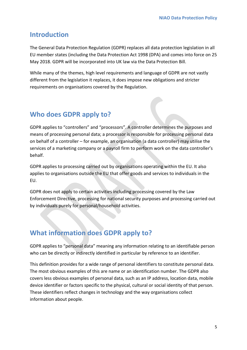## **Introduction**

The General Data Protection Regulation (GDPR) replaces all data protection legislation in all EU member states (including the Data Protection Act 1998 (DPA) and comes into force on 25 May 2018. GDPR will be incorporated into UK law via the Data Protection Bill.

While many of the themes, high level requirements and language of GDPR are not vastly different from the legislation it replaces, it does impose new obligations and stricter requirements on organisations covered by the Regulation.

# **Who does GDPR apply to?**

GDPR applies to "controllers" and "processors". A controller determines the purposes and means of processing personal data; a processor is responsible for processing personal data on behalf of a controller – for example, an organisation (a data controller) may utilise the services of a marketing company or a payroll firm to perform work on the data controller's behalf.

GDPR applies to processing carried out by organisations operating within the EU. It also applies to organisations outside the EU that offer goods and services to individuals in the EU.

GDPR does not apply to certain activities including processing covered by the Law Enforcement Directive, processing for national security purposes and processing carried out by individuals purely for personal/household activities.

# **What information does GDPR apply to?**

GDPR applies to "personal data" meaning any information relating to an identifiable person who can be directly or indirectly identified in particular by reference to an identifier.

This definition provides for a wide range of personal identifiers to constitute personal data. The most obvious examples of this are name or an identification number. The GDPR also covers less obvious examples of personal data, such as an IP address, location data, mobile device identifier or factors specific to the physical, cultural or social identity of that person. These identifiers reflect changes in technology and the way organisations collect information about people.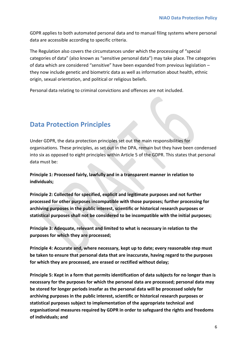GDPR applies to both automated personal data and to manual filing systems where personal data are accessible according to specific criteria.

The Regulation also covers the circumstances under which the processing of "special categories of data" (also known as "sensitive personal data") may take place. The categories of data which are considered "sensitive" have been expanded from previous legislation – they now include genetic and biometric data as well as information about health, ethnic origin, sexual orientation, and political or religious beliefs.

Personal data relating to criminal convictions and offences are not included.

## **Data Protection Principles**

Under GDPR, the data protection principles set out the main responsibilities for organisations. These principles, as set out in the DPA, remain but they have been condensed into six as opposed to eight principles within Article 5 of the GDPR. This states that personal data must be:

**Principle 1: Processed fairly, lawfully and in a transparent manner in relation to individuals;**

**Principle 2: Collected for specified, explicit and legitimate purposes and not further processed for other purposes incompatible with those purposes; further processing for archiving purposes in the public interest, scientific or historical research purposes or statistical purposes shall not be considered to be incompatible with the initial purposes;**

**Principle 3: Adequate, relevant and limited to what is necessary in relation to the purposes for which they are processed;**

**Principle 4: Accurate and, where necessary, kept up to date; every reasonable step must be taken to ensure that personal data that are inaccurate, having regard to the purposes for which they are processed, are erased or rectified without delay;**

**Principle 5: Kept in a form that permits identification of data subjects for no longer than is necessary for the purposes for which the personal data are processed; personal data may be stored for longer periods insofar as the personal data will be processed solely for archiving purposes in the public interest, scientific or historical research purposes or statistical purposes subject to implementation of the appropriate technical and organisational measures required by GDPR in order to safeguard the rights and freedoms of individuals; and**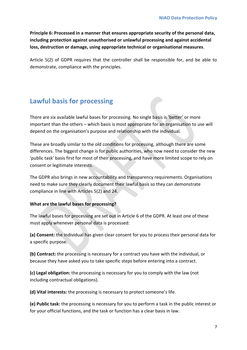**Principle 6: Processed in a manner that ensures appropriate security of the personal data, including protection against unauthorised or unlawful processing and against accidental loss, destruction or damage, using appropriate technical or organisational measures**.

Article 5(2) of GDPR requires that the controller shall be responsible for, and be able to demonstrate, compliance with the principles.

# **Lawful basis for processing**

There are six available lawful bases for processing. No single basis is 'better' or more important than the others – which basis is most appropriate for an organisation to use will depend on the organisation's purpose and relationship with the individual.

These are broadly similar to the old conditions for processing, although there are some differences. The biggest change is for public authorities, who now need to consider the new 'public task' basis first for most of their processing, and have more limited scope to rely on consent or legitimate interests.

The GDPR also brings in new accountability and transparency requirements. Organisations need to make sure they clearly document their lawful basis so they can demonstrate compliance in line with Articles 5(2) and 24.

#### **What are the lawful bases for processing?**

The lawful bases for processing are set out in Article 6 of the GDPR. At least one of these must apply whenever personal data is processed:

**(a) Consent:** the individual has given clear consent for you to process their personal data for a specific purpose.

**(b) Contract:** the processing is necessary for a contract you have with the individual, or because they have asked you to take specific steps before entering into a contract.

**(c) Legal obligation:** the processing is necessary for you to comply with the law (not including contractual obligations).

**(d) Vital interests:** the processing is necessary to protect someone's life.

**(e) Public task:** the processing is necessary for you to perform a task in the public interest or for your official functions, and the task or function has a clear basis in law.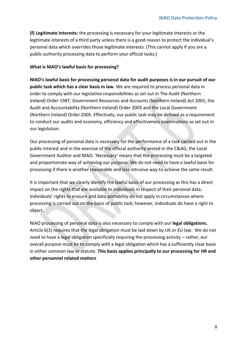**(f) Legitimate interests:** the processing is necessary for your legitimate interests or the legitimate interests of a third party unless there is a good reason to protect the individual's personal data which overrides those legitimate interests. (This cannot apply if you are a public authority processing data to perform your official tasks.)

#### **What is NIAO's lawful basis for processing?**

**NIAO's lawful basis for processing personal data for audit purposes is in our pursuit of our public task which has a clear basis in law**. We are required to process personal data in order to comply with our legislative responsibilities as set out in The Audit (Northern Ireland) Order 1987; Government Resources and Accounts (Northern Ireland) Act 2001; the Audit and Accountability (Northern Ireland) Order 2003 and the Local Government (Northern Ireland) Order 2005. Effectively, our public task may be defined as a requirement to conduct our audits and economy, efficiency and effectiveness examinations as set out in our legislation.

Our processing of personal data is necessary for the performance of a task carried out in the public interest and in the exercise of the official authority vested in the C&AG, the Local Government Auditor and NIAO. 'Necessary' means that the processing must be a targeted and proportionate way of achieving our purpose. We do not need to have a lawful basis for processing if there is another reasonable and less intrusive way to achieve the same result.

It is important that we clearly identify the lawful basis of our processing as this has a direct impact on the rights that are available to individuals in respect of their personal data. Individuals' rights to erasure and data portability do not apply in circumstances where processing is carried out on the basis of public task; however, individuals do have a right to object.

NIAO processing of personal data is also necessary to comply with our **legal obligations.** Article 6(3) requires that the legal obligation must be laid down by UK or EU law. We do not need to have a legal obligation specifically requiring the processing activity – rather, our overall purpose must be to comply with a legal obligation which has a sufficiently clear basis in either common law or statute. **This basis applies principally to our processing for HR and other personnel related matters**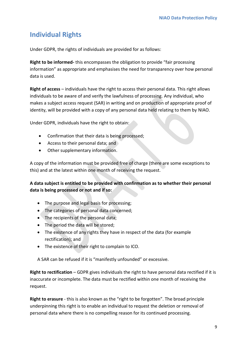# **Individual Rights**

Under GDPR, the rights of individuals are provided for as follows:

**Right to be informed-** this encompasses the obligation to provide "fair processing information" as appropriate and emphasises the need for transparency over how personal data is used.

**Right of access** – individuals have the right to access their personal data. This right allows individuals to be aware of and verify the lawfulness of processing. Any individual, who makes a subject access request (SAR) in writing and on production of appropriate proof of identity, will be provided with a copy of any personal data held relating to them by NIAO.

Under GDPR, individuals have the right to obtain:

- Confirmation that their data is being processed;
- Access to their personal data; and
- Other supplementary information.

A copy of the information must be provided free of charge (there are some exceptions to this) and at the latest within one month of receiving the request.

#### **A data subject is entitled to be provided with confirmation as to whether their personal data is being processed or not and if so:**

- The purpose and legal basis for processing;
- The categories of personal data concerned;
- The recipients of the personal data;
- The period the data will be stored;
- The existence of any rights they have in respect of the data (for example rectification); and
- The existence of their right to complain to ICO.

A SAR can be refused if it is "manifestly unfounded" or excessive.

**Right to rectification** – GDPR gives individuals the right to have personal data rectified if it is inaccurate or incomplete. The data must be rectified within one month of receiving the request.

**Right to erasure** - this is also known as the "right to be forgotten". The broad principle underpinning this right is to enable an individual to request the deletion or removal of personal data where there is no compelling reason for its continued processing.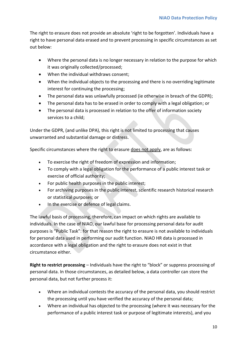The right to erasure does not provide an absolute 'right to be forgotten'. Individuals have a right to have personal data erased and to prevent processing in specific circumstances as set out below:

- Where the personal data is no longer necessary in relation to the purpose for which it was originally collected/processed;
- When the individual withdraws consent;
- When the individual objects to the processing and there is no overriding legitimate interest for continuing the processing;
- The personal data was unlawfully processed (ie otherwise in breach of the GDPR);
- The personal data has to be erased in order to comply with a legal obligation; or
- The personal data is processed in relation to the offer of information society services to a child;

Under the GDPR, (and unlike DPA), this right is not limited to processing that causes unwarranted and substantial damage or distress.

Specific circumstances where the right to erasure does not apply, are as follows:

- To exercise the right of freedom of expression and information;
- To comply with a legal obligation for the performance of a public interest task or exercise of official authority;
- For public health purposes in the public interest;
- For archiving purposes in the public interest, scientific research historical research or statistical purposes; or
- In the exercise or defence of legal claims.

The lawful basis of processing, therefore, can impact on which rights are available to individuals. In the case of NIAO, our lawful base for processing personal data for audit purposes is "Public Task": for that reason the right to erasure is not available to individuals for personal data used in performing our audit function. NIAO HR data is processed in accordance with a legal obligation and the right to erasure does not exist in that circumstance either.

**Right to restrict processing** – Individuals have the right to "block" or suppress processing of personal data. In those circumstances, as detailed below, a data controller can store the personal data, but not further process it:

- Where an individual contests the accuracy of the personal data, you should restrict the processing until you have verified the accuracy of the personal data;
- Where an individual has objected to the processing (where it was necessary for the performance of a public interest task or purpose of legitimate interests), and you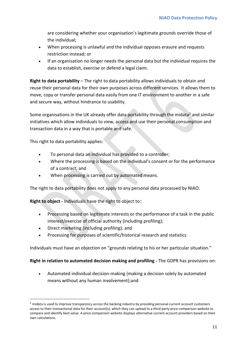are considering whether your organisation's legitimate grounds override those of the individual;

- When processing is unlawful and the individual opposes erasure and requests restriction instead; or
- If an organisation no longer needs the personal data but the individual requires the data to establish, exercise or defend a legal claim.

**Right to data portability** – The right to data portability allows individuals to obtain and reuse their personal data for their own purposes across different services. It allows them to move, copy or transfer personal data easily from one IT environment to another in a safe and secure way, without hindrance to usability.

Some organisations in the UK already offer data portability through the midata<sup>2</sup> and similar initiatives which allow individuals to view, access and use their personal consumption and transaction data in a way that is portable and safe.

This right to data portability applies:

**.** 

- To personal data an individual has provided to a controller;
- Where the processing is based on the individual's consent or for the performance of a contract; and
- When processing is carried out by automated means.

The right to data portability does not apply to any personal data processed by NIAO.

**Right to object -** Individuals have the right to object to:

- Processing based on legitimate interests or the performance of a task in the public interest/exercise of official authority (including profiling);
- Direct marketing (including profiling); and
- Processing for purposes of scientific/historical research and statistics

Individuals must have an objection on "grounds relating to his or her particular situation."

#### **Right in relation to automated decision making and profiling -** The GDPR has provisions on:

 Automated individual decision-making (making a decision solely by automated means without any human involvement);and

<sup>&</sup>lt;sup>2</sup> midata is used to improve transparency across the banking industry by providing personal current account customers access to their transactional data for their account(s), which they can upload to a third party price comparison website to compare and identify best value. A price comparison website displays alternative current account providers based on their own calculations.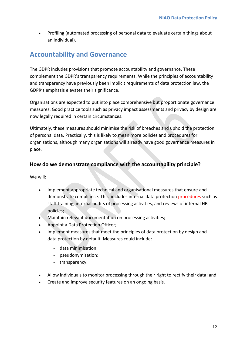Profiling (automated processing of personal data to evaluate certain things about an individual).

# **Accountability and Governance**

The GDPR includes provisions that promote accountability and governance. These complement the GDPR's transparency requirements. While the principles of accountability and transparency have previously been implicit requirements of data protection law, the GDPR's emphasis elevates their significance.

Organisations are expected to put into place comprehensive but proportionate governance measures. Good practice tools such as privacy impact assessments and privacy by design are now legally required in certain circumstances.

Ultimately, these measures should minimise the risk of breaches and uphold the protection of personal data. Practically, this is likely to mean more policies and procedures for organisations, although many organisations will already have good governance measures in place.

## **How do we demonstrate compliance with the accountability principle?**

We will:

- Implement appropriate technical and organisational measures that ensure and demonstrate compliance. This includes internal data protection procedures such as staff training, internal audits of processing activities, and reviews of internal HR policies;
- Maintain relevant documentation on processing activities;
- Appoint a Data Protection Officer;
- Implement measures that meet the principles of data protection by design and data protection by default. Measures could include:
	- data minimisation;
	- pseudonymisation;
	- transparency;
- Allow individuals to monitor processing through their right to rectify their data; and
- Create and improve security features on an ongoing basis.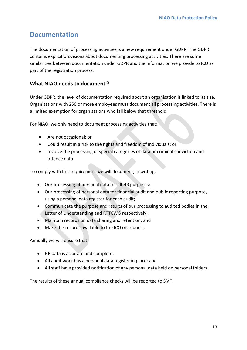## **Documentation**

The documentation of processing activities is a new requirement under GDPR. The GDPR contains explicit provisions about documenting processing activities. There are some similarities between documentation under GDPR and the information we provide to ICO as part of the registration process.

## **What NIAO needs to document ?**

Under GDPR, the level of documentation required about an organisation is linked to its size. Organisations with 250 or more employees must document all processing activities. There is a limited exemption for organisations who fall below that threshold.

For NIAO, we only need to document processing activities that:

- Are not occasional; or
- Could result in a risk to the rights and freedom of individuals; or
- Involve the processing of special categories of data or criminal conviction and offence data.

To comply with this requirement we will document, in writing:

- Our processing of personal data for all HR purposes;
- Our processing of personal data for financial audit and public reporting purpose, using a personal data register for each audit;
- Communicate the purpose and results of our processing to audited bodies in the Letter of Understanding and RTTCWG respectively;
- Maintain records on data sharing and retention; and
- Make the records available to the ICO on request.

Annually we will ensure that

- HR data is accurate and complete;
- All audit work has a personal data register in place; and
- All staff have provided notification of any personal data held on personal folders.

The results of these annual compliance checks will be reported to SMT.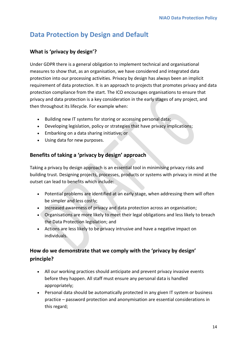# **Data Protection by Design and Default**

## **What is 'privacy by design'?**

Under GDPR there is a general obligation to implement technical and organisational measures to show that, as an organisation, we have considered and integrated data protection into our processing activities. Privacy by design has always been an implicit requirement of data protection. It is an approach to projects that promotes privacy and data protection compliance from the start. The ICO encourages organisations to ensure that privacy and data protection is a key consideration in the early stages of any project, and then throughout its lifecycle. For example when:

- Building new IT systems for storing or accessing personal data;
- Developing legislation, policy or strategies that have privacy implications;
- Embarking on a data sharing initiative; or
- Using data for new purposes.

## **Benefits of taking a 'privacy by design' approach**

Taking a privacy by design approach is an essential tool in minimising privacy risks and building trust. Designing projects, processes, products or systems with privacy in mind at the outset can lead to benefits which include:

- Potential problems are identified at an early stage, when addressing them will often be simpler and less costly;
- Increased awareness of privacy and data protection across an organisation;
- Organisations are more likely to meet their legal obligations and less likely to breach the Data Protection legislation; and
- Actions are less likely to be privacy intrusive and have a negative impact on individuals.

## **How do we demonstrate that we comply with the 'privacy by design' principle?**

- All our working practices should anticipate and prevent privacy invasive events before they happen. All staff must ensure any personal data is handled appropriately;
- Personal data should be automatically protected in any given IT system or business practice – password protection and anonymisation are essential considerations in this regard;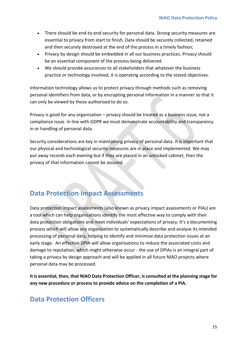- There should be end-to-end security for personal data. Strong security measures are essential to privacy from start to finish. Data should be securely collected, retained and then securely destroyed at the end of the process in a timely fashion;
- Privacy by design should be embedded in all our business practices. Privacy should be an essential component of the process being delivered.
- We should provide assurances to all stakeholders that whatever the business practice or technology involved, it is operating according to the stated objectives.

Information technology allows us to protect privacy through methods such as removing personal identifiers from data, or by encrypting personal information in a manner so that it can only be viewed by those authorised to do so.

Privacy is good for any organisation – privacy should be treated as a business issue, not a compliance issue. In line with GDPR we must demonstrate accountability and transparency in or handling of personal data.

Security considerations are key in maintaining privacy of personal data. It is important that our physical and technological security measures are in place and implemented. We may put away records each evening but if they are placed in an unlocked cabinet, then the privacy of that information cannot be assured.

# **Data Protection Impact Assessments**

Data protection impact assessments (also known as privacy impact assessments or PIAs) are a tool which can help organisations identify the most effective way to comply with their data protection obligations and meet individuals' expectations of privacy. It's a documenting process which will allow any organisation to systematically describe and analyse its intended processing of personal data, helping to identify and minimise data protection issues at an early stage. An effective DPIA will allow organisations to reduce the associated costs and damage to reputation, which might otherwise occur - the use of DPIAs is an integral part of taking a privacy by design approach and will be applied in all future NIAO projects where personal data may be processed.

**It is essential, then, that NIAO Data Protection Officer, is consulted at the planning stage for any new procedure or process to provide advice on the completion of a PIA.**

## **Data Protection Officers**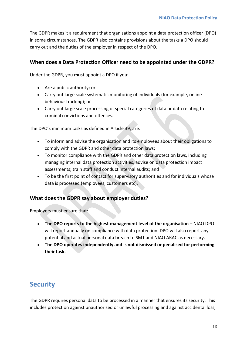The GDPR makes it a requirement that organisations appoint a data protection officer (DPO) in some circumstances. The GDPR also contains provisions about the tasks a DPO should carry out and the duties of the employer in respect of the DPO.

## **When does a Data Protection Officer need to be appointed under the GDPR?**

Under the GDPR, you **must** appoint a DPO if you:

- Are a public authority; or
- Carry out large scale systematic monitoring of individuals (for example, online behaviour tracking); or
- Carry out large scale processing of special categories of data or data relating to criminal convictions and offences.

The DPO's minimum tasks as defined in Article 39, are:

- To inform and advise the organisation and its employees about their obligations to comply with the GDPR and other data protection laws;
- To monitor compliance with the GDPR and other data protection laws, including managing internal data protection activities, advise on data protection impact assessments; train staff and conduct internal audits; and
- To be the first point of contact for supervisory authorities and for individuals whose data is processed (employees, customers etc).

#### **What does the GDPR say about employer duties?**

Employers must ensure that:

- **The DPO reports to the highest management level of the organisation** NIAO DPO will report annually on compliance with data protection. DPO will also report any potential and actual personal data breach to SMT and NIAO ARAC as necessary.
- **The DPO operates independently and is not dismissed or penalised for performing their task.**

# **Security**

The GDPR requires personal data to be processed in a manner that ensures its security. This includes protection against unauthorised or unlawful processing and against accidental loss,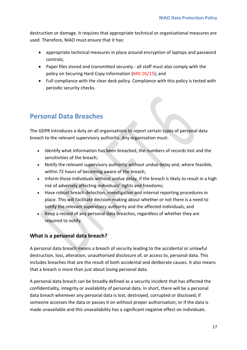destruction or damage. It requires that appropriate technical or organisational measures are used. Therefore, NIAO must ensure that it has:

- appropriate technical measures in place around encryption of laptops and password controls;
- Paper files stored and transmitted securely all staff must also comply with the policy on Securing Hard Copy Information (MIC 05/15); and
- Full compliance with the clear desk policy. Compliance with this policy is tested with periodic security checks.

# **Personal Data Breaches**

The GDPR introduces a duty on all organisations to report certain types of personal data breach to the relevant supervisory authority. Any organisation must:

- Identify what information has been breached, the numbers of records lost and the sensitivities of the breach;
- Notify the relevant supervisory authority without undue delay and, where feasible, within 72 hours of becoming aware of the breach;
- Inform those individuals without undue delay, if the breach is likely to result in a high risk of adversely affecting individuals' rights and freedoms;
- Have robust breach detection, investigation and internal reporting procedures in place. This will facilitate decision-making about whether or not there is a need to notify the relevant supervisory authority and the affected individuals; and
- Keep a record of any personal data breaches, regardless of whether they are required to notify.

## **What is a personal data breach?**

A personal data breach means a breach of security leading to the accidental or unlawful destruction, loss, alteration, unauthorised disclosure of, or access to, personal data. This includes breaches that are the result of both accidental and deliberate causes. It also means that a breach is more than just about losing personal data.

A personal data breach can be broadly defined as a security incident that has affected the confidentiality, integrity or availability of personal data. In short, there will be a personal data breach whenever any personal data is lost, destroyed, corrupted or disclosed; if someone accesses the data or passes it on without proper authorisation; or if the data is made unavailable and this unavailability has a significant negative effect on individuals.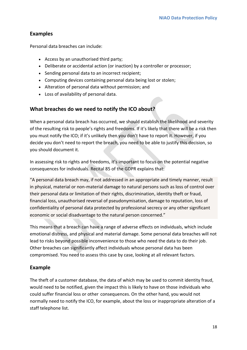## **Examples**

Personal data breaches can include:

- Access by an unauthorised third party;
- Deliberate or accidental action (or inaction) by a controller or processor;
- Sending personal data to an incorrect recipient;
- Computing devices containing personal data being lost or stolen;
- Alteration of personal data without permission; and
- Loss of availability of personal data.

## **What breaches do we need to notify the ICO about?**

When a personal data breach has occurred, we should establish the likelihood and severity of the resulting risk to people's rights and freedoms. If it's likely that there will be a risk then you must notify the ICO; if it's unlikely then you don't have to report it. However, if you decide you don't need to report the breach, you need to be able to justify this decision, so you should document it.

In assessing risk to rights and freedoms, it's important to focus on the potential negative consequences for individuals. Recital 85 of the GDPR explains that:

"A personal data breach may, if not addressed in an appropriate and timely manner, result in physical, material or non-material damage to natural persons such as loss of control over their personal data or limitation of their rights, discrimination, identity theft or fraud, financial loss, unauthorised reversal of pseudonymisation, damage to reputation, loss of confidentiality of personal data protected by professional secrecy or any other significant economic or social disadvantage to the natural person concerned."

This means that a breach can have a range of adverse effects on individuals, which include emotional distress, and physical and material damage. Some personal data breaches will not lead to risks beyond possible inconvenience to those who need the data to do their job. Other breaches can significantly affect individuals whose personal data has been compromised. You need to assess this case by case, looking at all relevant factors.

## **Example**

The theft of a customer database, the data of which may be used to commit identity fraud, would need to be notified, given the impact this is likely to have on those individuals who could suffer financial loss or other consequences. On the other hand, you would not normally need to notify the ICO, for example, about the loss or inappropriate alteration of a staff telephone list.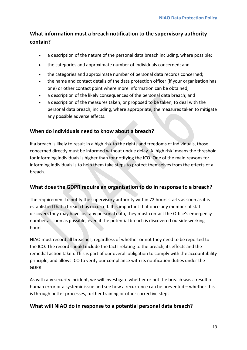## **What information must a breach notification to the supervisory authority contain?**

- a description of the nature of the personal data breach including, where possible:
- the categories and approximate number of individuals concerned; and
- the categories and approximate number of personal data records concerned;
- the name and contact details of the data protection officer (if your organisation has one) or other contact point where more information can be obtained;
- a description of the likely consequences of the personal data breach; and
- a description of the measures taken, or proposed to be taken, to deal with the personal data breach, including, where appropriate, the measures taken to mitigate any possible adverse effects.

#### **When do individuals need to know about a breach?**

If a breach is likely to result in a high risk to the rights and freedoms of individuals, those concerned directly must be informed without undue delay. A 'high risk' means the threshold for informing individuals is higher than for notifying the ICO. One of the main reasons for informing individuals is to help them take steps to protect themselves from the effects of a breach.

#### **What does the GDPR require an organisation to do in response to a breach?**

The requirement to notify the supervisory authority within 72 hours starts as soon as it is established that a breach has occurred. It is important that once any member of staff discovers they may have lost any personal data, they must contact the Office's emergency number as soon as possible, even if the potential breach is discovered outside working hours.

NIAO must record all breaches, regardless of whether or not they need to be reported to the ICO. The record should include the facts relating to the breach, its effects and the remedial action taken. This is part of our overall obligation to comply with the accountability principle, and allows ICO to verify our compliance with its notification duties under the GDPR.

As with any security incident, we will investigate whether or not the breach was a result of human error or a systemic issue and see how a recurrence can be prevented – whether this is through better processes, further training or other corrective steps.

#### **What will NIAO do in response to a potential personal data breach?**